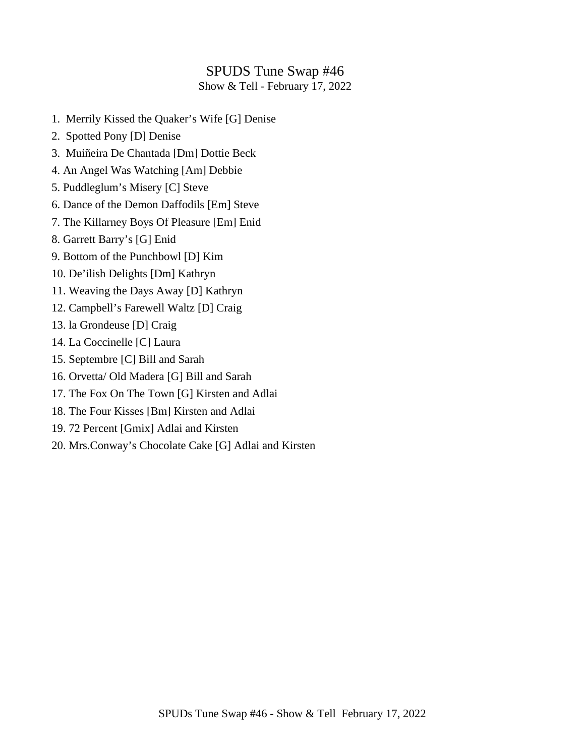#### SPUDS Tune Swap #46

Show & Tell - February 17, 2022

- 1. Merrily Kissed the Quaker's Wife [G] Denise
- 2. Spotted Pony [D] Denise
- 3. Muiñeira De Chantada [Dm] Dottie Beck
- 4. An Angel Was Watching [Am] Debbie
- 5. Puddleglum's Misery [C] Steve
- 6. Dance of the Demon Daffodils [Em] Steve
- 7. The Killarney Boys Of Pleasure [Em] Enid
- 8. Garrett Barry's [G] Enid
- 9. Bottom of the Punchbowl [D] Kim
- 10. De'ilish Delights [Dm] Kathryn
- 11. Weaving the Days Away [D] Kathryn
- 12. Campbell's Farewell Waltz [D] Craig
- 13. la Grondeuse [D] Craig
- 14. La Coccinelle [C] Laura
- 15. Septembre [C] Bill and Sarah
- 16. Orvetta/ Old Madera [G] Bill and Sarah
- 17. The Fox On The Town [G] Kirsten and Adlai
- 18. The Four Kisses [Bm] Kirsten and Adlai
- 19. 72 Percent [Gmix] Adlai and Kirsten
- 20. Mrs.Conway's Chocolate Cake [G] Adlai and Kirsten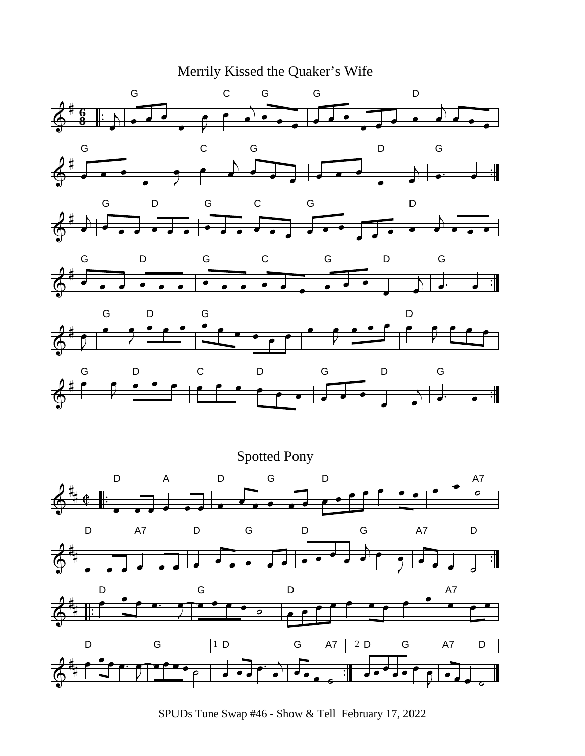Merrily Kissed the Quaker's Wife



SPUDs Tune Swap #46 - Show & Tell February 17, 2022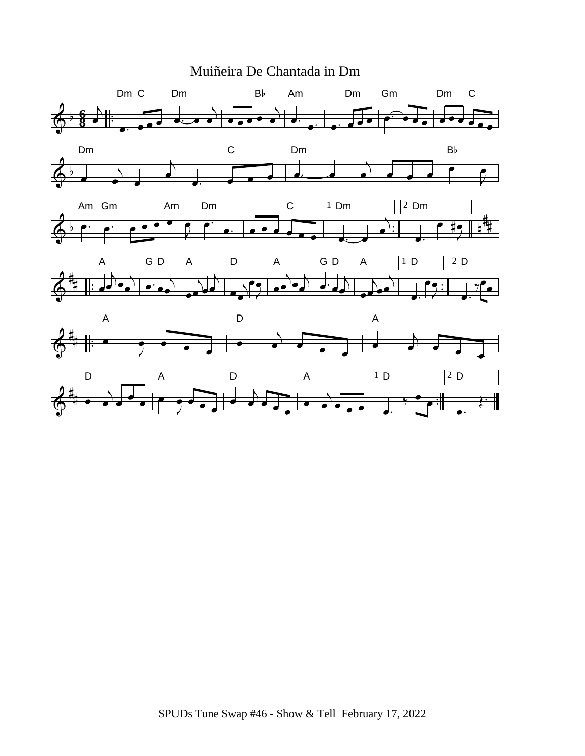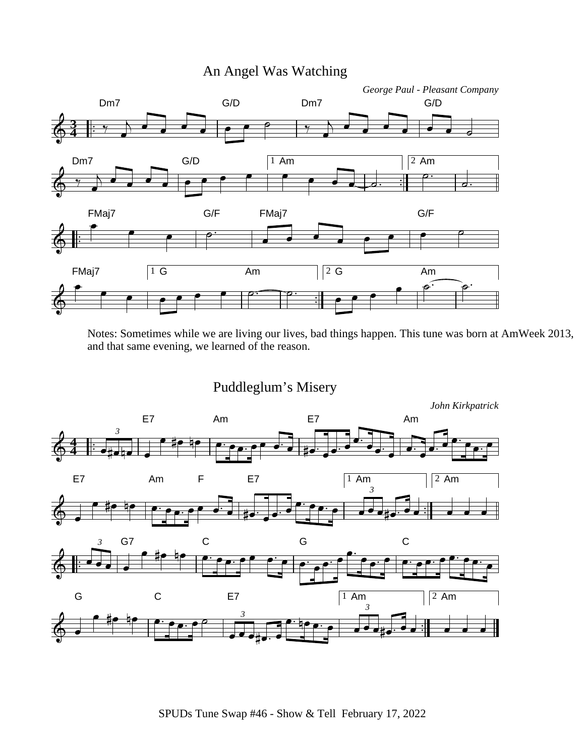# An Angel Was Watching



Notes: Sometimes while we are living our lives, bad things happen. This tune was born at AmWeek 2013, and that same evening, we learned of the reason.

Puddleglum's Misery

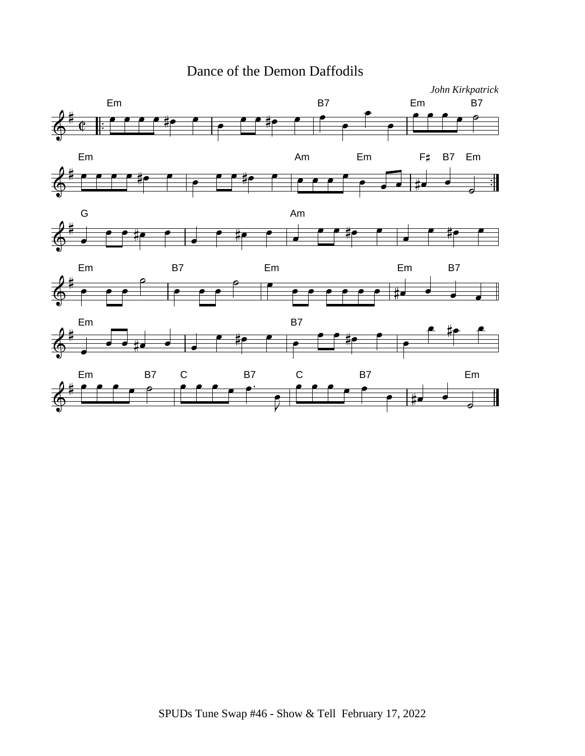## Dance of the Demon Daffodils

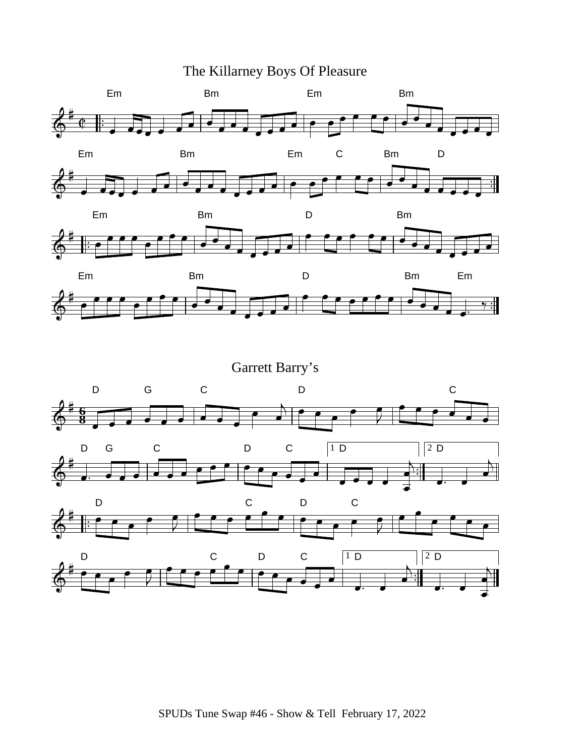The Killarney Boys Of Pleasure









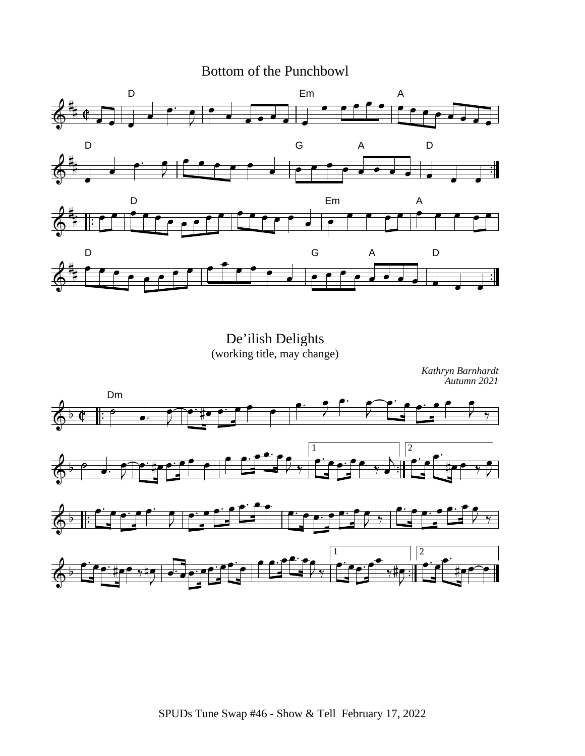### Bottom of the Punchbowl



De'ilish Delights (working title, may change)

*Kathryn Barnhardt Autumn 2021*

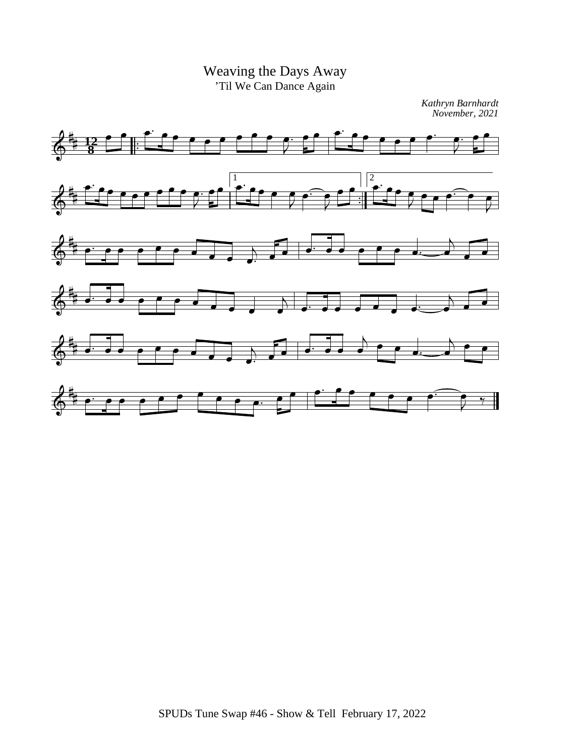Weaving the Days Away 'Til We Can Dance Again

*Kathryn Barnhardt November, 2021*

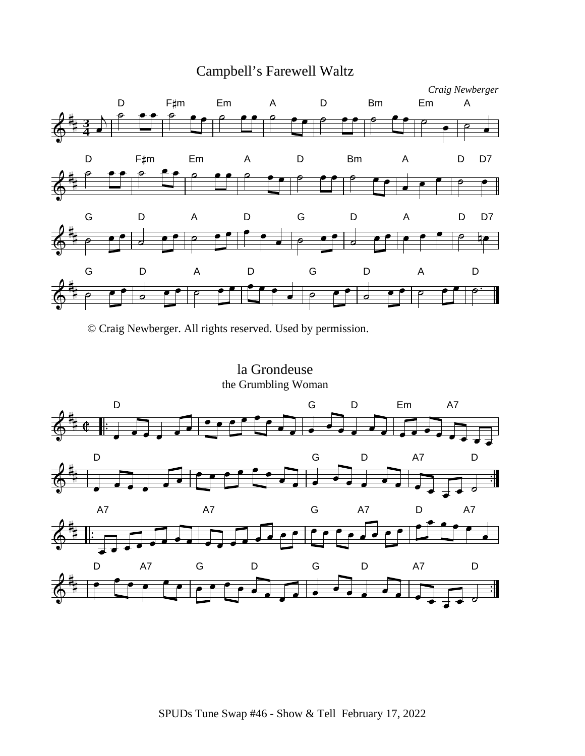

© Craig Newberger. All rights reserved. Used by permission.

la Grondeuse the Grumbling Woman

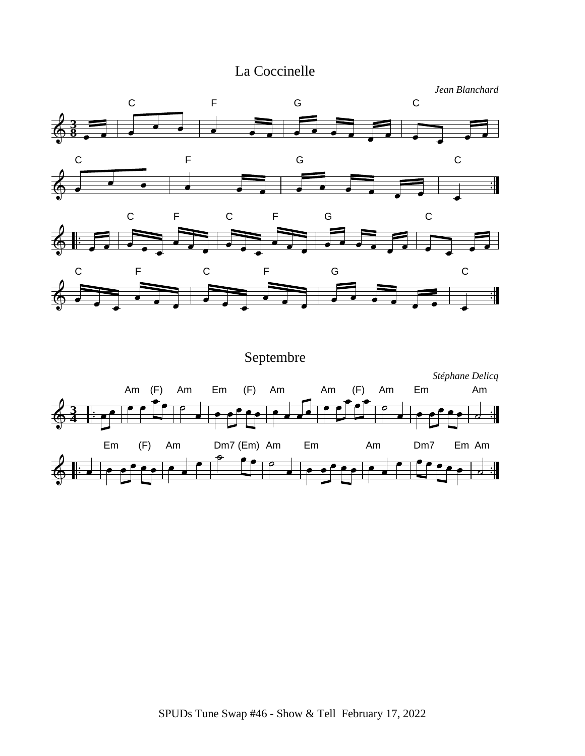# La Coccinelle



Septembre *Stéphane Delicq* Am (F) Am Em (F) Am Am (F) Am Em Am **3 4** Em (F) Am Dm7 (Em) Am Em Am Dm7 Em Am $\mathbf{H}$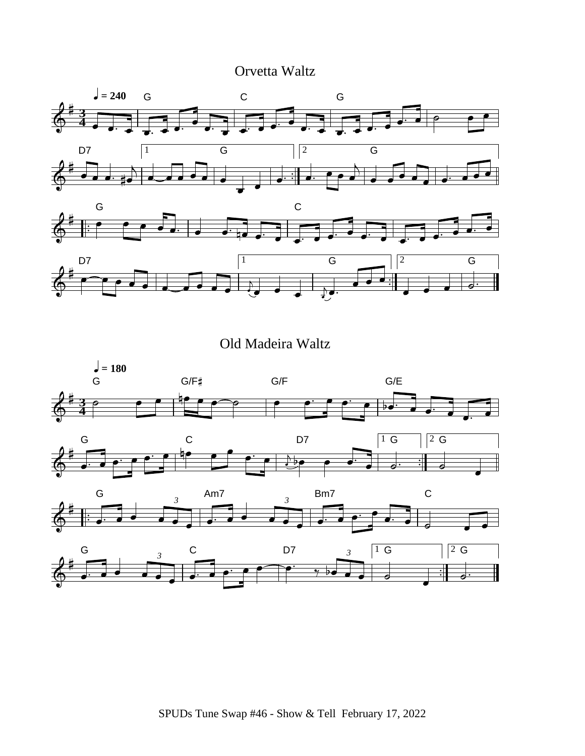Orvetta Waltz



Old Madeira Waltz

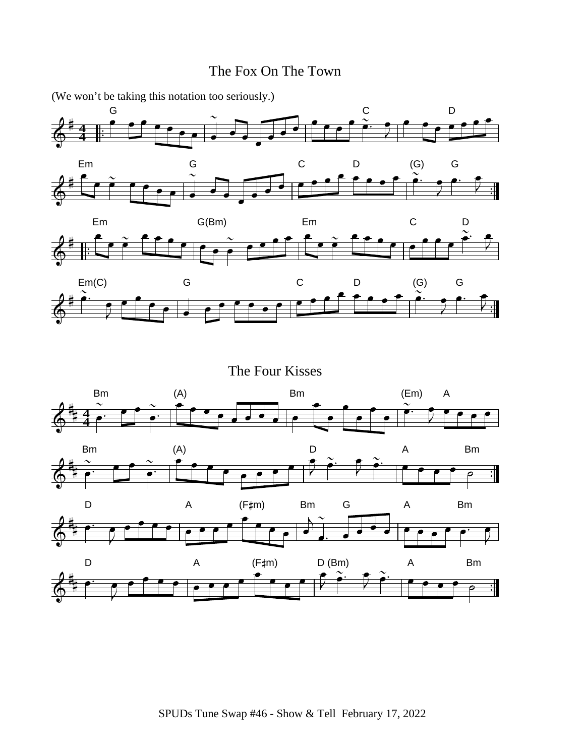### The Fox On The Town





The Four Kisses

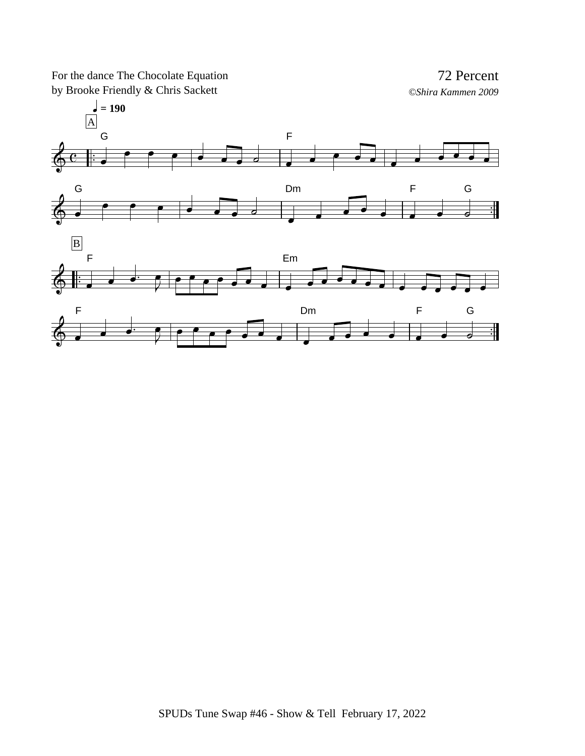For the dance The Chocolate Equation by Brooke Friendly & Chris Sackett

72 Percent *©Shira Kammen 2009*